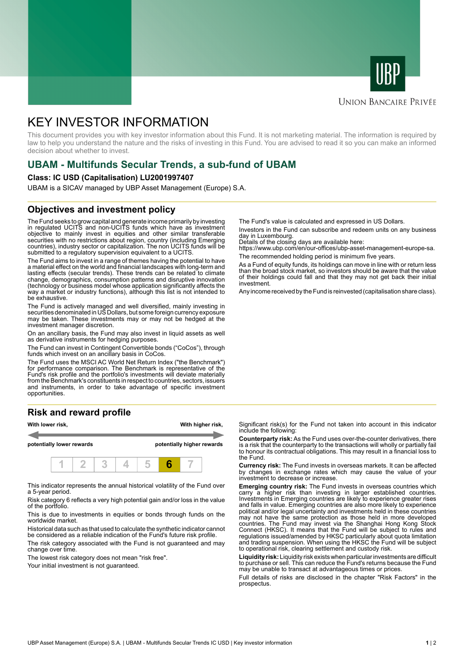



### **UNION BANCAIRE PRIVÉE**

# KEY INVESTOR INFORMATION

This document provides you with key investor information about this Fund. It is not marketing material. The information is required by law to help you understand the nature and the risks of investing in this Fund. You are advised to read it so you can make an informed decision about whether to invest.

# **UBAM - Multifunds Secular Trends, a sub-fund of UBAM**

#### **Class: IC USD (Capitalisation) LU2001997407**

UBAM is a SICAV managed by UBP Asset Management (Europe) S.A.

### **Objectives and investment policy**

The Fund seeks to grow capital and generate income primarily by investing in regulated UCITS and non-UCITS funds which have as investment objective to mainly invest in equities and other similar transferable securities with no restrictions about region, country (including Emerging countries), industry sector or capitalization. The non UCITS funds will be submitted to a regulatory supervision equivalent to a UCITS.

The Fund aims to invest in a range of themes having the potential to have a material effect on the world and financial landscapes with long-term and lasting effects (secular trends). These trends can be related to climate change, demographics, consumption patterns and disruptive innovation (technology or business model whose application significantly affects the way a market or industry functions), although this list is not intended to be exhaustive.

The Fund is actively managed and well diversified, mainly investing in securities denominated in US Dollars, but some foreign currency exposure may be taken. These investments may or may not be hedged at the investment manager discretion.

On an ancillary basis, the Fund may also invest in liquid assets as well as derivative instruments for hedging purposes.

The Fund can invest in Contingent Convertible bonds ("CoCos"), through funds which invest on an ancillary basis in CoCos.

The Fund uses the MSCI AC World Net Return Index ("the Benchmark") for performance comparison. The Benchmark is representative of the Fund's risk profile and the portfolio's investments will deviate materially from the Benchmark's constituents in respect to countries, sectors, issuers and instruments, in order to take advantage of specific investment opportunities.

# **Risk and reward profile**



This indicator represents the annual historical volatility of the Fund over a 5-year period.

Risk category 6 reflects a very high potential gain and/or loss in the value of the portfolio.

This is due to investments in equities or bonds through funds on the worldwide market.

Historical data such as that used to calculate the synthetic indicator cannot be considered as a reliable indication of the Fund's future risk profile.

The risk category associated with the Fund is not guaranteed and may change over time.

The lowest risk category does not mean "risk free".

Your initial investment is not guaranteed.

The Fund's value is calculated and expressed in US Dollars.

Investors in the Fund can subscribe and redeem units on any business day in Luxembourg.

Details of the closing days are available here:

https://www.ubp.com/en/our-offices/ubp-asset-management-europe-sa. The recommended holding period is minimum five years.

As a Fund of equity funds, its holdings can move in line with or return less than the broad stock market, so investors should be aware that the value of their holdings could fall and that they may not get back their initial investment.

Any income received by the Fund is reinvested (capitalisation share class).

Significant risk(s) for the Fund not taken into account in this indicator include the following:

**Counterparty risk:** As the Fund uses over-the-counter derivatives, there is a risk that the counterparty to the transactions will wholly or partially fail to honour its contractual obligations. This may result in a financial loss to the Fund.

**Currency risk:** The Fund invests in overseas markets. It can be affected by changes in exchange rates which may cause the value of your investment to decrease or increase.

**Emerging country risk:** The Fund invests in overseas countries which carry a higher risk than investing in larger established countries. Investments in Emerging countries are likely to experience greater rises and falls in value. Emerging countries are also more likely to experience political and/or legal uncertainty and investments held in these countries may not have the same protection as those held in more developed countries. The Fund may invest via the Shanghai Hong Kong Stock Connect (HKSC). It means that the Fund will be subject to rules and regulations issued/amended by HKSC particularly about quota limitation and trading suspension. When using the HKSC the Fund will be subject to operational risk, clearing settlement and custody risk.

**Liquidity risk:** Liquidity risk exists when particular investments are difficult to purchase or sell. This can reduce the Fund's returns because the Fund may be unable to transact at advantageous times or prices.

Full details of risks are disclosed in the chapter "Risk Factors" in the prospectus.